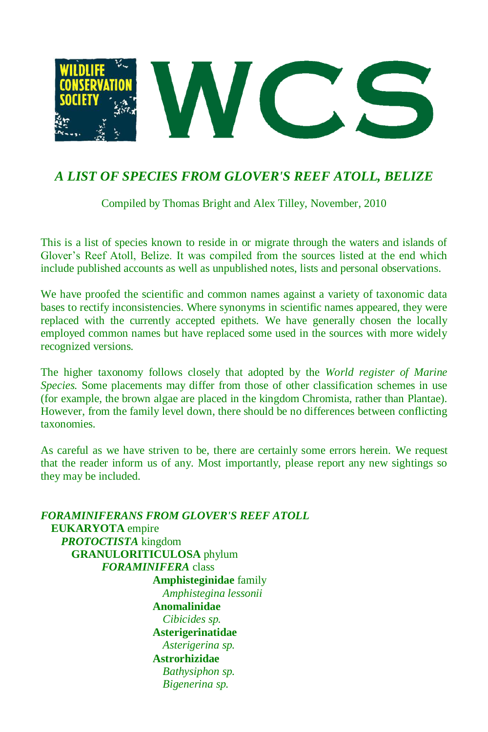

# *A LIST OF SPECIES FROM GLOVER'S REEF ATOLL, BELIZE*

Compiled by Thomas Bright and Alex Tilley, November, 2010

This is a list of species known to reside in or migrate through the waters and islands of Glover's Reef Atoll, Belize. It was compiled from the sources listed at the end which include published accounts as well as unpublished notes, lists and personal observations.

We have proofed the scientific and common names against a variety of taxonomic data bases to rectify inconsistencies. Where synonyms in scientific names appeared, they were replaced with the currently accepted epithets. We have generally chosen the locally employed common names but have replaced some used in the sources with more widely recognized versions.

The higher taxonomy follows closely that adopted by the *World register of Marine Species.* Some placements may differ from those of other classification schemes in use (for example, the brown algae are placed in the kingdom Chromista, rather than Plantae). However, from the family level down, there should be no differences between conflicting taxonomies.

As careful as we have striven to be, there are certainly some errors herein. We request that the reader inform us of any. Most importantly, please report any new sightings so they may be included.

*FORAMINIFERANS FROM GLOVER'S REEF ATOLL* **EUKARYOTA** empire *PROTOCTISTA* kingdom **GRANULORITICULOSA** phylum *FORAMINIFERA* class **Amphisteginidae** family *Amphistegina lessonii* **Anomalinidae** *Cibicides sp.* **Asterigerinatidae**  *Asterigerina sp.* **Astrorhizidae**  *Bathysiphon sp. Bigenerina sp.*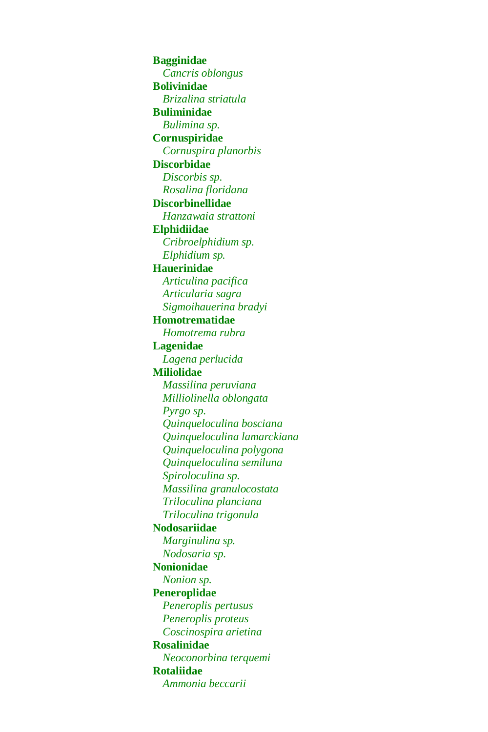**Bagginidae**  *Cancris oblongus* **Bolivinidae** *Brizalina striatula*  **Buliminidae** *Bulimina sp.* **Cornuspiridae** *Cornuspira planorbis* **Discorbidae** *Discorbis sp. Rosalina floridana* **Discorbinellidae** *Hanzawaia strattoni* **Elphidiidae** *Cribroelphidium sp. Elphidium sp.* **Hauerinidae** *Articulina pacifica Articularia sagra Sigmoihauerina bradyi* **Homotrematidae**  *Homotrema rubra*  **Lagenidae**  *Lagena perlucida* **Miliolidae** *Massilina peruviana Milliolinella oblongata Pyrgo sp. Quinqueloculina bosciana Quinqueloculina lamarckiana Quinqueloculina polygona Quinqueloculina semiluna Spiroloculina sp. Massilina granulocostata Triloculina planciana Triloculina trigonula* **Nodosariidae**  *Marginulina sp. Nodosaria sp.* **Nonionidae** *Nonion sp.* **Peneroplidae**  *Peneroplis pertusus Peneroplis proteus Coscinospira arietina* **Rosalinidae**  *Neoconorbina terquemi* **Rotaliidae**  *Ammonia beccarii*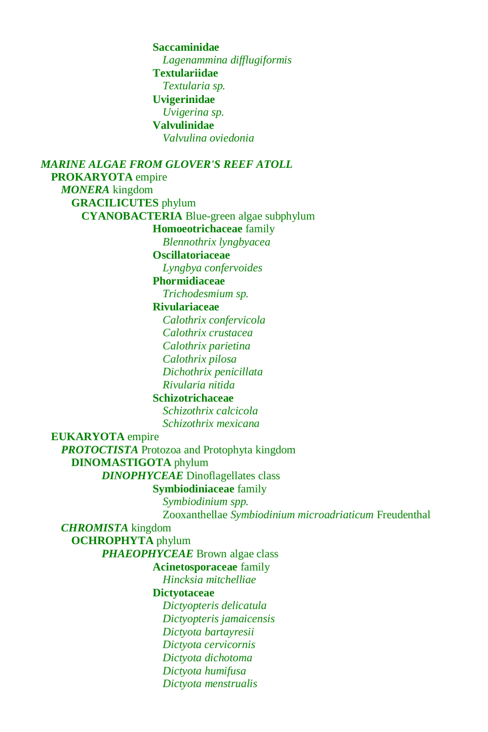**Saccaminidae** *Lagenammina difflugiformis* **Textulariidae**  *Textularia sp.* **Uvigerinidae** *Uvigerina sp.* **Valvulinidae** *Valvulina oviedonia*

*MARINE ALGAE FROM GLOVER'S REEF ATOLL* **PROKARYOTA** empire *MONERA* kingdom **GRACILICUTES** phylum **CYANOBACTERIA** Blue-green algae subphylum **Homoeotrichaceae** family *Blennothrix lyngbyacea* **Oscillatoriaceae** *Lyngbya confervoides* **Phormidiaceae** *Trichodesmium sp.* **Rivulariaceae** *Calothrix confervicola Calothrix crustacea Calothrix parietina Calothrix pilosa Dichothrix penicillata Rivularia nitida* **Schizotrichaceae** *Schizothrix calcicola Schizothrix mexicana* **EUKARYOTA** empire *PROTOCTISTA* Protozoa and Protophyta kingdom **DINOMASTIGOTA** phylum *DINOPHYCEAE* Dinoflagellates class **Symbiodiniaceae** family *Symbiodinium spp.* Zooxanthellae *Symbiodinium microadriaticum* Freudenthal *CHROMISTA* kingdom **OCHROPHYTA** phylum *PHAEOPHYCEAE* Brown algae class **Acinetosporaceae** family *Hincksia mitchelliae* **Dictyotaceae** *Dictyopteris delicatula Dictyopteris jamaicensis Dictyota bartayresii Dictyota cervicornis Dictyota dichotoma Dictyota humifusa Dictyota menstrualis*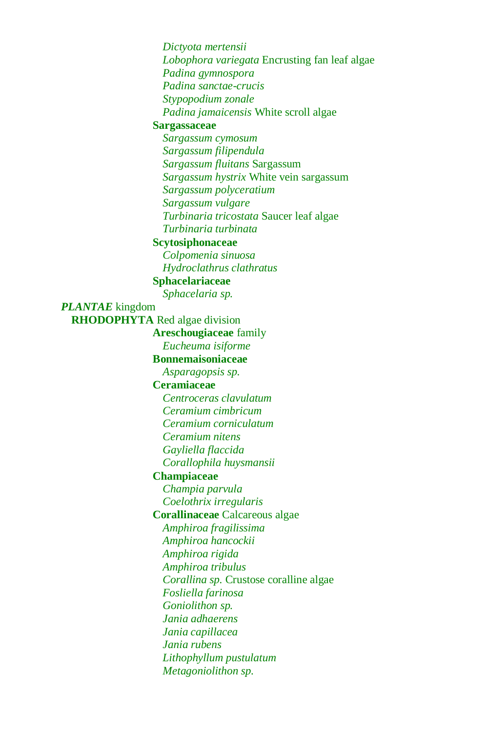*Dictyota mertensii Lobophora variegata* Encrusting fan leaf algae *Padina gymnospora Padina sanctae-crucis Stypopodium zonale Padina jamaicensis* White scroll algae **Sargassaceae** *Sargassum cymosum Sargassum filipendula Sargassum fluitans* Sargassum *Sargassum hystrix* White vein sargassum *Sargassum polyceratium Sargassum vulgare Turbinaria tricostata* Saucer leaf algae *Turbinaria turbinata* **Scytosiphonaceae** *Colpomenia sinuosa Hydroclathrus clathratus* **Sphacelariaceae** *Sphacelaria sp. PLANTAE* kingdom **RHODOPHYTA** Red algae division **Areschougiaceae** family *Eucheuma isiforme* **Bonnemaisoniaceae** *Asparagopsis sp.* **Ceramiaceae** *Centroceras clavulatum Ceramium cimbricum Ceramium corniculatum Ceramium nitens Gayliella flaccida Corallophila huysmansii* **Champiaceae** *Champia parvula Coelothrix irregularis* **Corallinaceae** Calcareous algae *Amphiroa fragilissima Amphiroa hancockii Amphiroa rigida Amphiroa tribulus Corallina sp.* Crustose coralline algae *Fosliella farinosa Goniolithon sp. Jania adhaerens Jania capillacea Jania rubens Lithophyllum pustulatum Metagoniolithon sp.*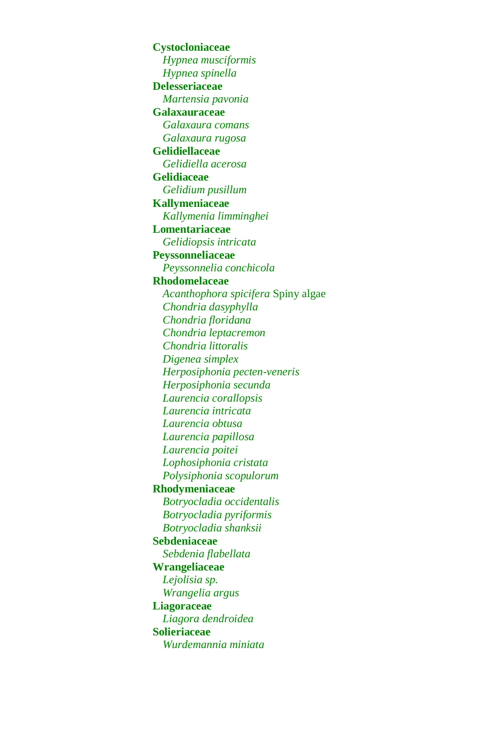**Cystocloniaceae** *Hypnea musciformis Hypnea spinella* **Delesseriaceae** *Martensia pavonia* **Galaxauraceae** *Galaxaura comans Galaxaura rugosa* **Gelidiellaceae** *Gelidiella acerosa* **Gelidiaceae** *Gelidium pusillum* **Kallymeniaceae** *Kallymenia limminghei* **Lomentariaceae** *Gelidiopsis intricata* **Peyssonneliaceae** *Peyssonnelia conchicola* **Rhodomelaceae** *Acanthophora spicifera* Spiny algae *Chondria dasyphylla Chondria floridana Chondria leptacremon Chondria littoralis Digenea simplex Herposiphonia pecten-veneris Herposiphonia secunda Laurencia corallopsis Laurencia intricata Laurencia obtusa Laurencia papillosa Laurencia poitei Lophosiphonia cristata Polysiphonia scopulorum* **Rhodymeniaceae**  *Botryocladia occidentalis Botryocladia pyriformis Botryocladia shanksii* **Sebdeniaceae** *Sebdenia flabellata* **Wrangeliaceae** *Lejolisia sp. Wrangelia argus* **Liagoraceae** *Liagora dendroidea* **Solieriaceae** *Wurdemannia miniata*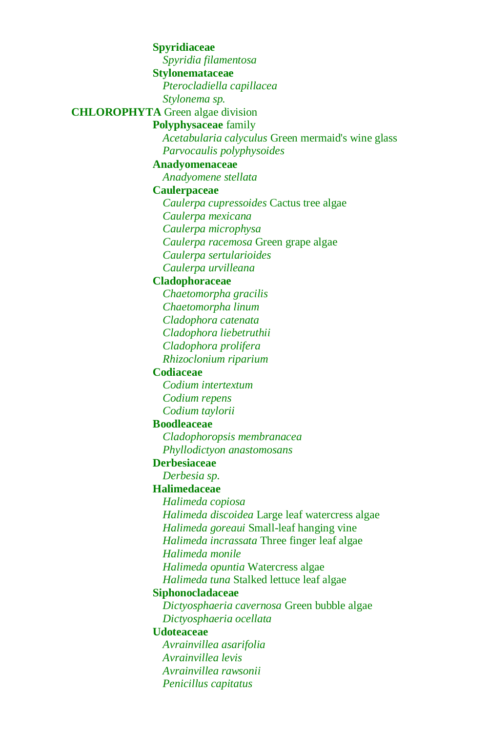**Spyridiaceae** *Spyridia filamentosa* **Stylonemataceae** *Pterocladiella capillacea Stylonema sp.* **CHLOROPHYTA** Green algae division **Polyphysaceae** family *Acetabularia calyculus* Green mermaid's wine glass *Parvocaulis polyphysoides* **Anadyomenaceae** *Anadyomene stellata* **Caulerpaceae** *Caulerpa cupressoides* Cactus tree algae *Caulerpa mexicana Caulerpa microphysa Caulerpa racemosa* Green grape algae *Caulerpa sertularioides Caulerpa urvilleana* **Cladophoraceae** *Chaetomorpha gracilis Chaetomorpha linum Cladophora catenata Cladophora liebetruthii Cladophora prolifera Rhizoclonium riparium* **Codiaceae** *Codium intertextum Codium repens Codium taylorii* **Boodleaceae** *Cladophoropsis membranacea Phyllodictyon anastomosans* **Derbesiaceae** *Derbesia sp.* **Halimedaceae** *Halimeda copiosa Halimeda discoidea* Large leaf watercress algae *Halimeda goreaui* Small-leaf hanging vine *Halimeda incrassata* Three finger leaf algae *Halimeda monile Halimeda opuntia* Watercress algae *Halimeda tuna* Stalked lettuce leaf algae **Siphonocladaceae** *Dictyosphaeria cavernosa* Green bubble algae *Dictyosphaeria ocellata* **Udoteaceae** *Avrainvillea asarifolia Avrainvillea levis Avrainvillea rawsonii Penicillus capitatus*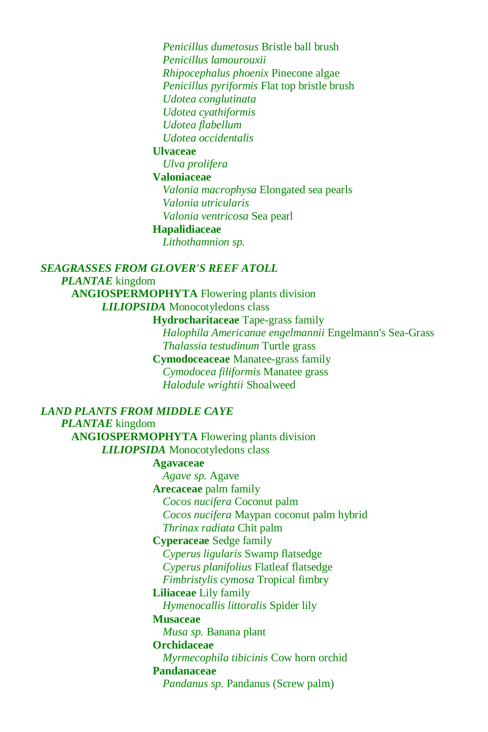*Penicillus dumetosus* Bristle ball brush *Penicillus lamourouxii Rhipocephalus phoenix* Pinecone algae *Penicillus pyriformis* Flat top bristle brush *Udotea conglutinata Udotea cyathiformis Udotea flabellum Udotea occidentalis*

#### **Ulvaceae**

*Ulva prolifera*

#### **Valoniaceae**

*Valonia macrophysa* Elongated sea pearls *Valonia utricularis Valonia ventricosa* Sea pearl

#### **Hapalidiaceae**

*Lithothamnion sp.*

#### *SEAGRASSES FROM GLOVER'S REEF ATOLL*

*PLANTAE* kingdom

**ANGIOSPERMOPHYTA** Flowering plants division

*LILIOPSIDA* Monocotyledons class

**Hydrocharitaceae** Tape-grass family *Halophila Americanae engelmannii* Engelmann's Sea-Grass *Thalassia testudinum* Turtle grass **Cymodoceaceae** Manatee-grass family *Cymodocea filiformis* Manatee grass *Halodule wrightii* Shoalweed

#### *LAND PLANTS FROM MIDDLE CAYE*

*PLANTAE* kingdom

**ANGIOSPERMOPHYTA** Flowering plants division *LILIOPSIDA* Monocotyledons class

#### **Agavaceae**

*Agave sp.* Agave **Arecaceae** palm family *Cocos nucifera* Coconut palm *Cocos nucifera* Maypan coconut palm hybrid *Thrinax radiata* Chit palm **Cyperaceae** Sedge family

*Cyperus ligularis* Swamp flatsedge

*Cyperus planifolius* Flatleaf flatsedge

*Fimbristylis cymosa* Tropical fimbry

# **Liliaceae** Lily family

*Hymenocallis littoralis* Spider lily

# **Musaceae**

*Musa sp.* Banana plant

## **Orchidaceae**

*Myrmecophila tibicinis* Cow horn orchid **Pandanaceae**

*Pandanus sp.* Pandanus (Screw palm)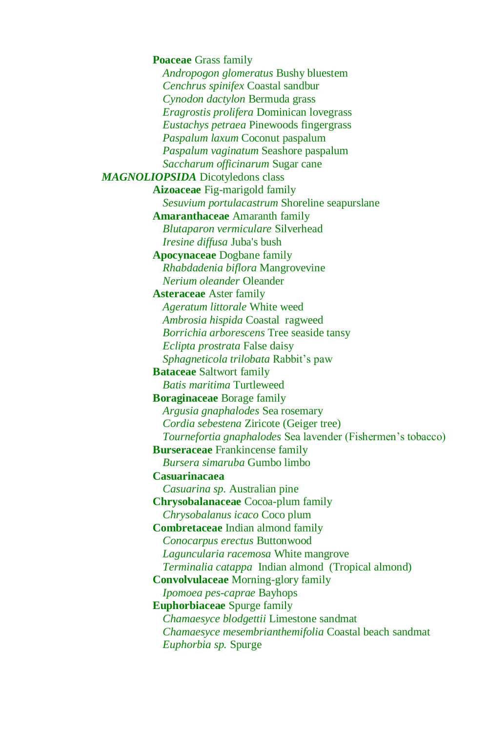**Poaceae** Grass family *Andropogon glomeratus* Bushy bluestem *Cenchrus spinifex* Coastal sandbur *Cynodon dactylon* Bermuda grass *Eragrostis prolifera* Dominican lovegrass *Eustachys petraea* Pinewoods fingergrass *Paspalum laxum* Coconut paspalum *Paspalum vaginatum* Seashore paspalum *Saccharum officinarum* Sugar cane *MAGNOLIOPSIDA* Dicotyledons class **Aizoaceae** Fig-marigold family *Sesuvium portulacastrum* Shoreline seapurslane **Amaranthaceae** Amaranth family *Blutaparon vermiculare* Silverhead *Iresine diffusa* Juba's bush **Apocynaceae** Dogbane family *Rhabdadenia biflora* Mangrovevine *Nerium oleander* Oleander **Asteraceae** Aster family *Ageratum littorale* White weed *Ambrosia hispida* Coastal ragweed *Borrichia arborescens* Tree seaside tansy *Eclipta prostrata* False daisy *Sphagneticola trilobata* Rabbit's paw **Bataceae** Saltwort family *Batis maritima* Turtleweed **Boraginaceae** Borage family *Argusia gnaphalodes* Sea rosemary *Cordia sebestena* Ziricote (Geiger tree) *Tournefortia gnaphalodes* Sea lavender (Fishermen's tobacco) **Burseraceae** Frankincense family *Bursera simaruba* Gumbo limbo **Casuarinacaea** *Casuarina sp.* Australian pine **Chrysobalanaceae** Cocoa-plum family *Chrysobalanus icaco* Coco plum **Combretaceae** Indian almond family *Conocarpus erectus* Buttonwood *Laguncularia racemosa* White mangrove *Terminalia catappa* Indian almond (Tropical almond) **Convolvulaceae** Morning-glory family *Ipomoea pes-caprae* Bayhops **Euphorbiaceae** Spurge family *Chamaesyce blodgettii* Limestone sandmat *Chamaesyce mesembrianthemifolia* Coastal beach sandmat *Euphorbia sp.* Spurge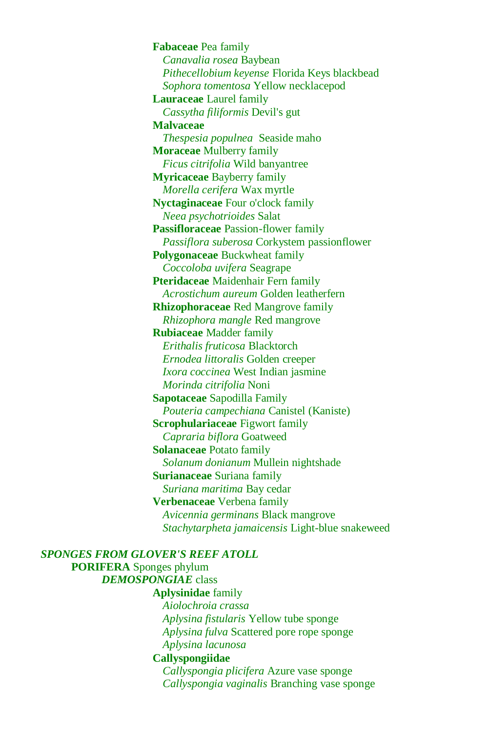**Fabaceae** Pea family *Canavalia rosea* Baybean *Pithecellobium keyense* Florida Keys blackbead *Sophora tomentosa* Yellow necklacepod **Lauraceae** Laurel family *Cassytha filiformis* Devil's gut **Malvaceae** *Thespesia populnea* Seaside maho **Moraceae** Mulberry family *Ficus citrifolia* Wild banyantree **Myricaceae** Bayberry family *Morella cerifera* Wax myrtle **Nyctaginaceae** Four o'clock family *Neea psychotrioides* Salat **Passifloraceae** Passion-flower family *Passiflora suberosa* Corkystem passionflower **Polygonaceae** Buckwheat family *Coccoloba uvifera* Seagrape **Pteridaceae** Maidenhair Fern family *Acrostichum aureum* Golden leatherfern **Rhizophoraceae** Red Mangrove family *Rhizophora mangle* Red mangrove **Rubiaceae** Madder family *Erithalis fruticosa* Blacktorch *Ernodea littoralis* Golden creeper *Ixora coccinea* West Indian jasmine *Morinda citrifolia* Noni **Sapotaceae** Sapodilla Family *Pouteria campechiana* Canistel (Kaniste) **Scrophulariaceae** Figwort family *Capraria biflora* Goatweed **Solanaceae** Potato family *Solanum donianum* Mullein nightshade **Surianaceae** Suriana family *Suriana maritima* Bay cedar **Verbenaceae** Verbena family *Avicennia germinans* Black mangrove *Stachytarpheta jamaicensis* Light-blue snakeweed

*SPONGES FROM GLOVER'S REEF ATOLL* **PORIFERA** Sponges phylum *DEMOSPONGIAE* class **Aplysinidae** family *Aiolochroia crassa Aplysina fistularis* Yellow tube sponge *Aplysina fulva* Scattered pore rope sponge *Aplysina lacunosa* **Callyspongiidae** *Callyspongia plicifera* Azure vase sponge *Callyspongia vaginalis* Branching vase sponge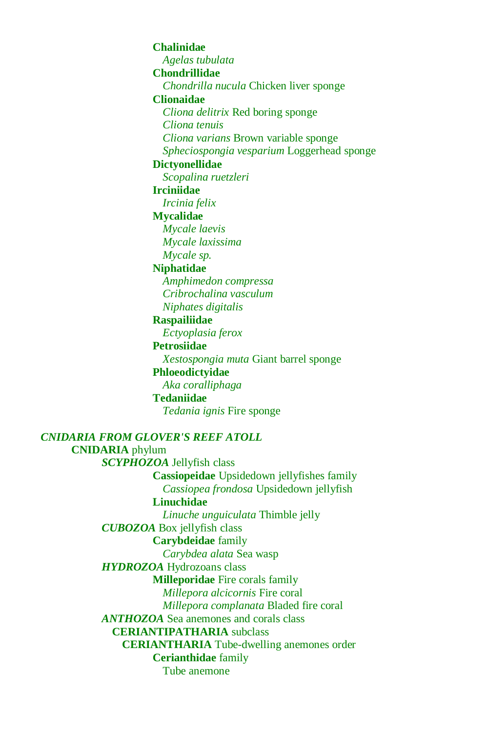#### **Chalinidae**

*Agelas tubulata*

# **Chondrillidae**

*Chondrilla nucula* Chicken liver sponge

## **Clionaidae**

*Cliona delitrix* Red boring sponge

*Cliona tenuis*

*Cliona varians* Brown variable sponge

*Spheciospongia vesparium* Loggerhead sponge

# **Dictyonellidae**

*Scopalina ruetzleri*

# **Irciniidae**

*Ircinia felix*

#### **Mycalidae**

*Mycale laevis Mycale laxissima Mycale sp.*

#### **Niphatidae**

*Amphimedon compressa Cribrochalina vasculum Niphates digitalis*

# **Raspailiidae**

*Ectyoplasia ferox*

**Petrosiidae**

*Xestospongia muta* Giant barrel sponge

## **Phloeodictyidae**

*Aka coralliphaga*

# **Tedaniidae**

*Tedania ignis* Fire sponge

#### *CNIDARIA FROM GLOVER'S REEF ATOLL*

# **CNIDARIA** phylum *SCYPHOZOA* Jellyfish class

**Cassiopeidae** Upsidedown jellyfishes family *Cassiopea frondosa* Upsidedown jellyfish

# **Linuchidae**

*Linuche unguiculata* Thimble jelly *CUBOZOA* Box jellyfish class **Carybdeidae** family

#### *Carybdea alata* Sea wasp

*HYDROZOA* Hydrozoans class

#### **Milleporidae** Fire corals family

*Millepora alcicornis* Fire coral

#### *Millepora complanata* Bladed fire coral

*ANTHOZOA* Sea anemones and corals class

#### **CERIANTIPATHARIA** subclass

**CERIANTHARIA** Tube-dwelling anemones order

# **Cerianthidae** family

Tube anemone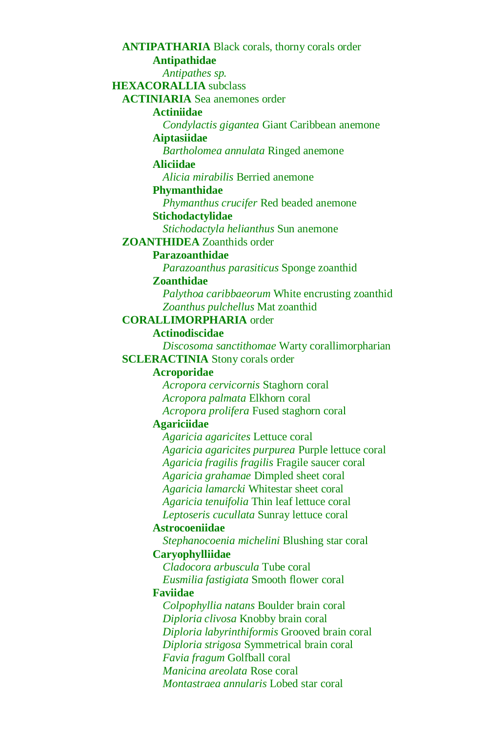**ANTIPATHARIA** Black corals, thorny corals order **Antipathidae**  *Antipathes sp.* **HEXACORALLIA** subclass **ACTINIARIA** Sea anemones order **Actiniidae**  *Condylactis gigantea* Giant Caribbean anemone **Aiptasiidae** *Bartholomea annulata* Ringed anemone **Aliciidae** *Alicia mirabilis* Berried anemone **Phymanthidae** *Phymanthus crucifer* Red beaded anemone **Stichodactylidae** *Stichodactyla helianthus* Sun anemone **ZOANTHIDEA** Zoanthids order **Parazoanthidae**  *Parazoanthus parasiticus* Sponge zoanthid **Zoanthidae** *Palythoa caribbaeorum* White encrusting zoanthid *Zoanthus pulchellus* Mat zoanthid **CORALLIMORPHARIA** order **Actinodiscidae** *Discosoma sanctithomae* Warty corallimorpharian **SCLERACTINIA** Stony corals order **Acroporidae** *Acropora cervicornis* Staghorn coral *Acropora palmata* Elkhorn coral *Acropora prolifera* Fused staghorn coral **Agariciidae** *Agaricia agaricites* Lettuce coral *Agaricia agaricites purpurea* Purple lettuce coral *Agaricia fragilis fragilis* Fragile saucer coral *Agaricia grahamae* Dimpled sheet coral *Agaricia lamarcki* Whitestar sheet coral *Agaricia tenuifolia* Thin leaf lettuce coral *Leptoseris cucullata* Sunray lettuce coral **Astrocoeniidae** *Stephanocoenia michelini* Blushing star coral **Caryophylliidae**  *Cladocora arbuscula* Tube coral *Eusmilia fastigiata* Smooth flower coral **Faviidae** *Colpophyllia natans* Boulder brain coral *Diploria clivosa* Knobby brain coral *Diploria labyrinthiformis* Grooved brain coral *Diploria strigosa* Symmetrical brain coral *Favia fragum* Golfball coral *Manicina areolata* Rose coral *Montastraea annularis* Lobed star coral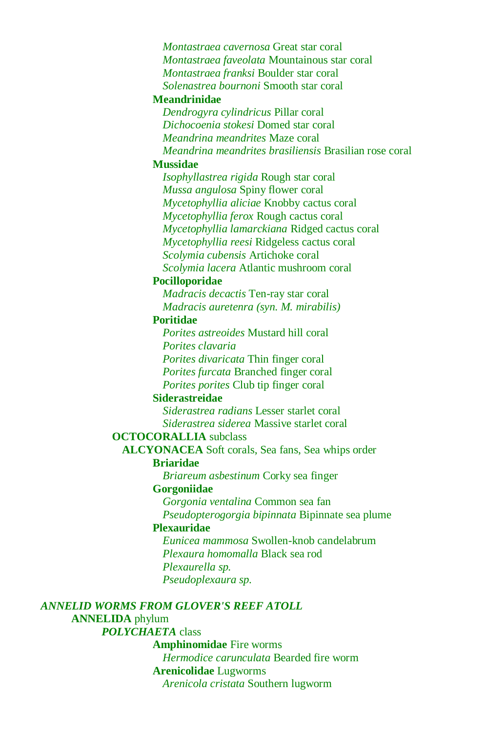*Montastraea cavernosa* Great star coral *Montastraea faveolata* Mountainous star coral *Montastraea franksi* Boulder star coral *Solenastrea bournoni* Smooth star coral

#### **Meandrinidae**

*Dendrogyra cylindricus* Pillar coral *Dichocoenia stokesi* Domed star coral *Meandrina meandrites* Maze coral *Meandrina meandrites brasiliensis* Brasilian rose coral

#### **Mussidae**

*Isophyllastrea rigida* Rough star coral *Mussa angulosa* Spiny flower coral *Mycetophyllia aliciae* Knobby cactus coral *Mycetophyllia ferox* Rough cactus coral *Mycetophyllia lamarckiana* Ridged cactus coral *Mycetophyllia reesi* Ridgeless cactus coral *Scolymia cubensis* Artichoke coral *Scolymia lacera* Atlantic mushroom coral

#### **Pocilloporidae**

*Madracis decactis* Ten-ray star coral *Madracis auretenra (syn. M. mirabilis)*

#### **Poritidae**

*Porites astreoides* Mustard hill coral *Porites clavaria*

*Porites divaricata* Thin finger coral

*Porites furcata* Branched finger coral

*Porites porites* Club tip finger coral

#### **Siderastreidae**

*Siderastrea radians* Lesser starlet coral *Siderastrea siderea* Massive starlet coral

#### **OCTOCORALLIA** subclass

**ALCYONACEA** Soft corals, Sea fans, Sea whips order **Briaridae**

*Briareum asbestinum* Corky sea finger

#### **Gorgoniidae**

*Gorgonia ventalina* Common sea fan *Pseudopterogorgia bipinnata* Bipinnate sea plume

#### **Plexauridae**

*Eunicea mammosa* Swollen-knob candelabrum *Plexaura homomalla* Black sea rod *Plexaurella sp. Pseudoplexaura sp.*

# *ANNELID WORMS FROM GLOVER'S REEF ATOLL*

#### **ANNELIDA** phylum *POLYCHAETA* class

## **Amphinomidae** Fire worms

*Hermodice carunculata* Bearded fire worm **Arenicolidae** Lugworms *Arenicola cristata* Southern lugworm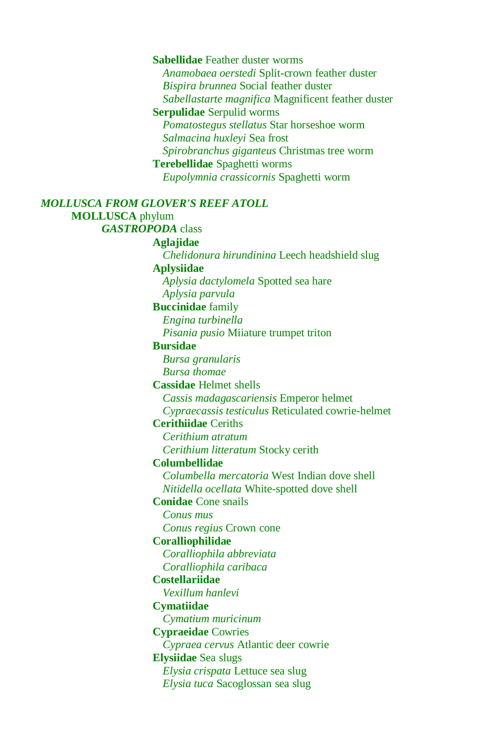**Sabellidae** Feather duster worms *Anamobaea oerstedi* Split-crown feather duster *Bispira brunnea* Social feather duster *Sabellastarte magnifica* Magnificent feather duster **Serpulidae** Serpulid worms *Pomatostegus stellatus* Star horseshoe worm *Salmacina huxleyi* Sea frost *Spirobranchus giganteus* Christmas tree worm **Terebellidae** Spaghetti worms *Eupolymnia crassicornis* Spaghetti worm *MOLLUSCA FROM GLOVER'S REEF ATOLL* **MOLLUSCA** phylum *GASTROPODA* class **Aglajidae** *Chelidonura hirundinina* Leech headshield slug **Aplysiidae** *Aplysia dactylomela* Spotted sea hare *Aplysia parvula*  **Buccinidae** family *Engina turbinella Pisania pusio* Miiature trumpet triton **Bursidae** *Bursa granularis Bursa thomae* **Cassidae** Helmet shells *Cassis madagascariensis* Emperor helmet *Cypraecassis testiculus* Reticulated cowrie-helmet **Cerithiidae** Ceriths *Cerithium atratum Cerithium litteratum* Stocky cerith **Columbellidae** *Columbella mercatoria* West Indian dove shell *Nitidella ocellata* White-spotted dove shell **Conidae** Cone snails *Conus mus Conus regius* Crown cone **Coralliophilidae** *Coralliophila abbreviata Coralliophila caribaca* **Costellariidae** *Vexillum hanlevi* **Cymatiidae** *Cymatium muricinum* **Cypraeidae** Cowries *Cypraea cervus* Atlantic deer cowrie **Elysiidae** Sea slugs *Elysia crispata* Lettuce sea slug *Elysia tuca* Sacoglossan sea slug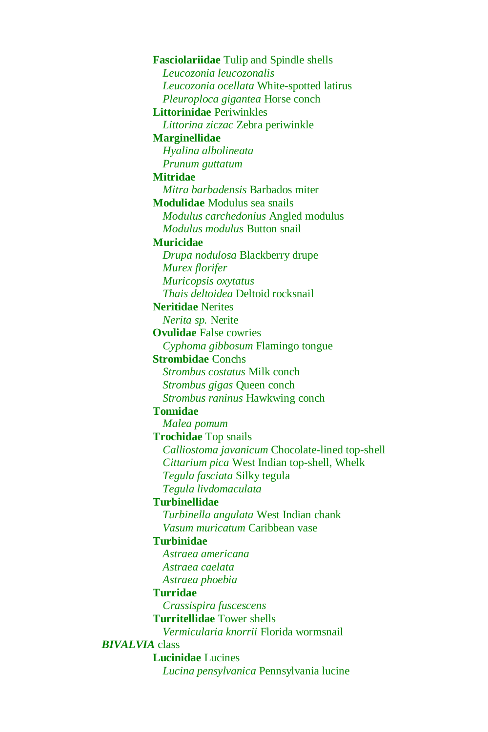**Fasciolariidae** Tulip and Spindle shells *Leucozonia leucozonalis Leucozonia ocellata* White-spotted latirus *Pleuroploca gigantea* Horse conch **Littorinidae** Periwinkles *Littorina ziczac* Zebra periwinkle **Marginellidae** *Hyalina albolineata Prunum guttatum* **Mitridae** *Mitra barbadensis* Barbados miter **Modulidae** Modulus sea snails *Modulus carchedonius* Angled modulus *Modulus modulus* Button snail **Muricidae** *Drupa nodulosa* Blackberry drupe *Murex florifer Muricopsis oxytatus Thais deltoidea* Deltoid rocksnail **Neritidae** Nerites *Nerita sp.* Nerite **Ovulidae** False cowries *Cyphoma gibbosum* Flamingo tongue **Strombidae** Conchs *Strombus costatus* Milk conch *Strombus gigas* Queen conch *Strombus raninus* Hawkwing conch **Tonnidae** *Malea pomum* **Trochidae** Top snails *Calliostoma javanicum* Chocolate-lined top-shell *Cittarium pica* West Indian top-shell, Whelk *Tegula fasciata* Silky tegula *Tegula livdomaculata* **Turbinellidae** *Turbinella angulata* West Indian chank *Vasum muricatum* Caribbean vase **Turbinidae** *Astraea americana Astraea caelata Astraea phoebia* **Turridae** *Crassispira fuscescens* **Turritellidae** Tower shells *Vermicularia knorrii* Florida wormsnail *BIVALVIA* class **Lucinidae** Lucines *Lucina pensylvanica* Pennsylvania lucine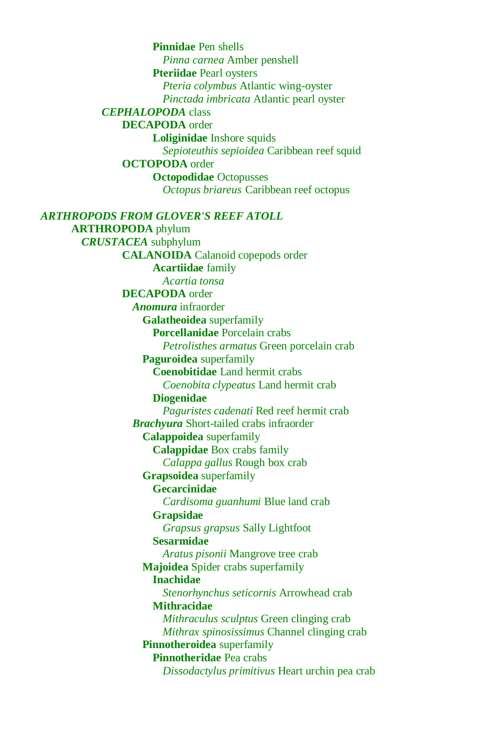**Pinnidae** Pen shells *Pinna carnea* Amber penshell **Pteriidae** Pearl oysters *Pteria colymbus* Atlantic wing-oyster *Pinctada imbricata* Atlantic pearl oyster *CEPHALOPODA* class **DECAPODA** order **Loliginidae** Inshore squids *Sepioteuthis sepioidea* Caribbean reef squid **OCTOPODA** order **Octopodidae** Octopusses *Octopus briareus* Caribbean reef octopus *ARTHROPODS FROM GLOVER'S REEF ATOLL* **ARTHROPODA** phylum *CRUSTACEA* subphylum **CALANOIDA** Calanoid copepods order **Acartiidae** family *Acartia tonsa* **DECAPODA** order *Anomura* infraorder **Galatheoidea** superfamily **Porcellanidae** Porcelain crabs *Petrolisthes armatus* Green porcelain crab **Paguroidea** superfamily **Coenobitidae** Land hermit crabs *Coenobita clypeatus* Land hermit crab **Diogenidae** *Paguristes cadenati* Red reef hermit crab *Brachyura* Short-tailed crabs infraorder **Calappoidea** superfamily **Calappidae** Box crabs family *Calappa gallus* Rough box crab **Grapsoidea** superfamily **Gecarcinidae** *Cardisoma guanhumi* Blue land crab **Grapsidae** *Grapsus grapsus* Sally Lightfoot **Sesarmidae**  *Aratus pisonii* Mangrove tree crab **Majoidea** Spider crabs superfamily **Inachidae**  *Stenorhynchus seticornis* Arrowhead crab **Mithracidae** *Mithraculus sculptus* Green clinging crab *Mithrax spinosissimus* Channel clinging crab **Pinnotheroidea** superfamily **Pinnotheridae** Pea crabs *Dissodactylus primitivus* Heart urchin pea crab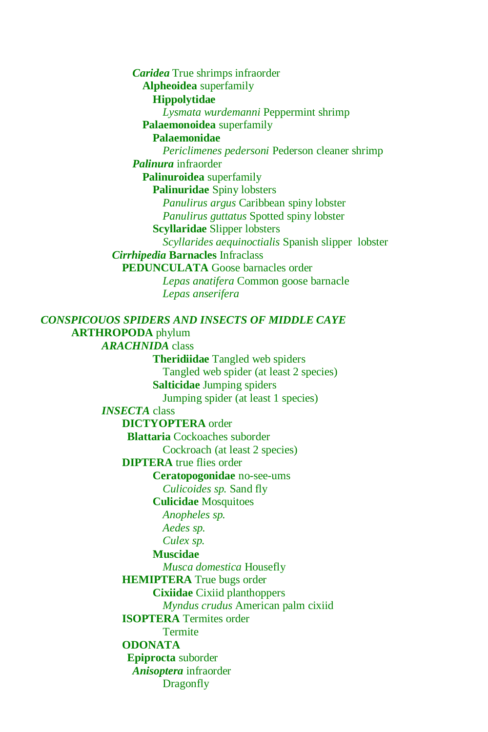*Caridea* True shrimps infraorder **Alpheoidea** superfamily **Hippolytidae** *Lysmata wurdemanni* Peppermint shrimp **Palaemonoidea** superfamily **Palaemonidae** *Periclimenes pedersoni* Pederson cleaner shrimp *Palinura* infraorder **Palinuroidea** superfamily **Palinuridae** Spiny lobsters *Panulirus argus* Caribbean spiny lobster *Panulirus guttatus* Spotted spiny lobster **Scyllaridae** Slipper lobsters *Scyllarides aequinoctialis* Spanish slipper lobster *Cirrhipedia* **Barnacles** Infraclass **PEDUNCULATA** Goose barnacles order *Lepas anatifera* Common goose barnacle *Lepas anserifera*

# *CONSPICOUOS SPIDERS AND INSECTS OF MIDDLE CAYE* **ARTHROPODA** phylum *ARACHNIDA* class **Theridiidae** Tangled web spiders Tangled web spider (at least 2 species) **Salticidae** Jumping spiders Jumping spider (at least 1 species) *INSECTA* class **DICTYOPTERA** order **Blattaria** Cockoaches suborder Cockroach (at least 2 species) **DIPTERA** true flies order **Ceratopogonidae** no-see-ums *Culicoides sp.* Sand fly **Culicidae** Mosquitoes *Anopheles sp. Aedes sp. Culex sp.* **Muscidae** *Musca domestica* Housefly **HEMIPTERA** True bugs order **Cixiidae** Cixiid planthoppers *Myndus crudus* American palm cixiid **ISOPTERA** Termites order **Termite ODONATA Epiprocta** suborder *Anisoptera* infraorder **Dragonfly**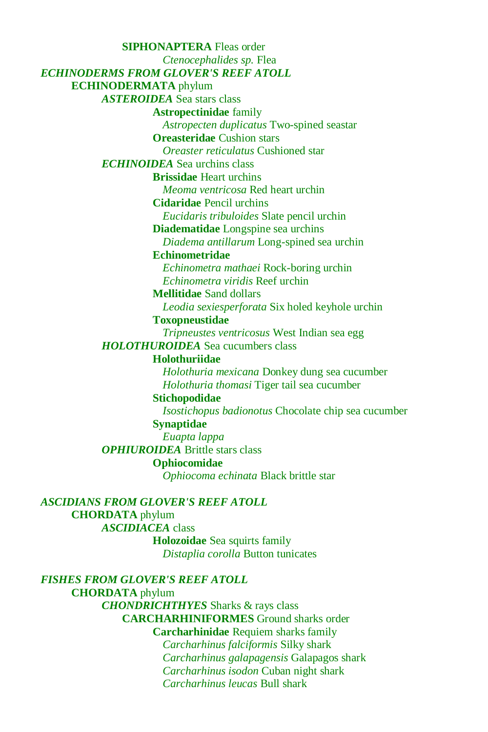**SIPHONAPTERA** Fleas order *Ctenocephalides sp.* Flea *ECHINODERMS FROM GLOVER'S REEF ATOLL* **ECHINODERMATA** phylum *ASTEROIDEA* Sea stars class **Astropectinidae** family *Astropecten duplicatus* Two-spined seastar **Oreasteridae** Cushion stars *Oreaster reticulatus* Cushioned star *ECHINOIDEA* Sea urchins class **Brissidae** Heart urchins *Meoma ventricosa* Red heart urchin **Cidaridae** Pencil urchins *Eucidaris tribuloides* Slate pencil urchin **Diadematidae** Longspine sea urchins *Diadema antillarum* Long-spined sea urchin **Echinometridae** *Echinometra mathaei* Rock-boring urchin *Echinometra viridis* Reef urchin **Mellitidae** Sand dollars *Leodia sexiesperforata* Six holed keyhole urchin **Toxopneustidae** *Tripneustes ventricosus* West Indian sea egg *HOLOTHUROIDEA* Sea cucumbers class **Holothuriidae**  *Holothuria mexicana* Donkey dung sea cucumber *Holothuria thomasi* Tiger tail sea cucumber **Stichopodidae** *Isostichopus badionotus* Chocolate chip sea cucumber **Synaptidae** *Euapta lappa OPHIUROIDEA* Brittle stars class **Ophiocomidae**  *Ophiocoma echinata* Black brittle star *ASCIDIANS FROM GLOVER'S REEF ATOLL*

**CHORDATA** phylum *ASCIDIACEA* class **Holozoidae** Sea squirts family *Distaplia corolla* Button tunicates

*FISHES FROM GLOVER'S REEF ATOLL* **CHORDATA** phylum *CHONDRICHTHYES* Sharks & rays class **CARCHARHINIFORMES** Ground sharks order **Carcharhinidae** Requiem sharks family *Carcharhinus falciformis* Silky shark *Carcharhinus galapagensis* Galapagos shark *Carcharhinus isodon* Cuban night shark *Carcharhinus leucas* Bull shark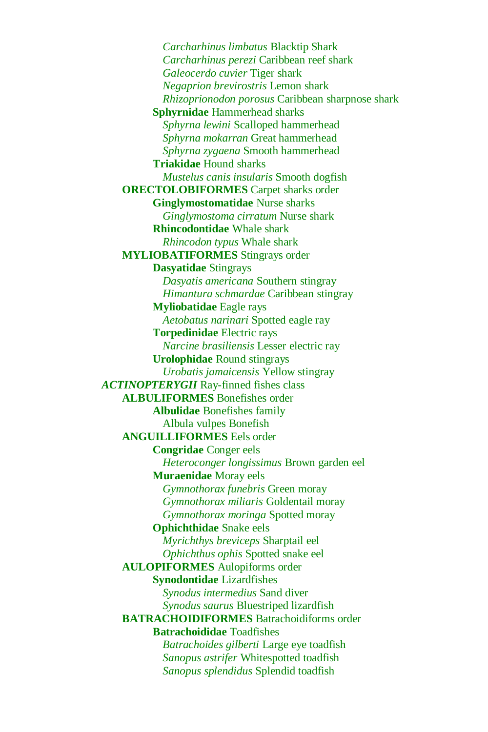*Carcharhinus limbatus* Blacktip Shark *Carcharhinus perezi* Caribbean reef shark *Galeocerdo cuvier* Tiger shark *Negaprion brevirostris* Lemon shark *Rhizoprionodon porosus* Caribbean sharpnose shark **Sphyrnidae** Hammerhead sharks *Sphyrna lewini* Scalloped hammerhead *Sphyrna mokarran* Great hammerhead *Sphyrna zygaena* Smooth hammerhead **Triakidae** Hound sharks *Mustelus canis insularis* Smooth dogfish **ORECTOLOBIFORMES** Carpet sharks order **Ginglymostomatidae** Nurse sharks *Ginglymostoma cirratum* Nurse shark **Rhincodontidae** Whale shark *Rhincodon typus* Whale shark **MYLIOBATIFORMES** Stingrays order **Dasyatidae** Stingrays *Dasyatis americana* Southern stingray *Himantura schmardae* Caribbean stingray **Myliobatidae** Eagle rays *Aetobatus narinari* Spotted eagle ray **Torpedinidae** Electric rays *Narcine brasiliensis* Lesser electric ray **Urolophidae** Round stingrays *Urobatis jamaicensis* Yellow stingray *ACTINOPTERYGII* Ray-finned fishes class **ALBULIFORMES** Bonefishes order **Albulidae** Bonefishes family Albula vulpes Bonefish **ANGUILLIFORMES** Eels order **Congridae** Conger eels *Heteroconger longissimus* Brown garden eel **Muraenidae** Moray eels *Gymnothorax funebris* Green moray *Gymnothorax miliaris* Goldentail moray *Gymnothorax moringa* Spotted moray **Ophichthidae** Snake eels *Myrichthys breviceps* Sharptail eel *Ophichthus ophis* Spotted snake eel **AULOPIFORMES** Aulopiforms order **Synodontidae** Lizardfishes *Synodus intermedius* Sand diver *Synodus saurus* Bluestriped lizardfish **BATRACHOIDIFORMES** Batrachoidiforms order **Batrachoididae** Toadfishes *Batrachoides gilberti* Large eye toadfish *Sanopus astrifer* Whitespotted toadfish *Sanopus splendidus* Splendid toadfish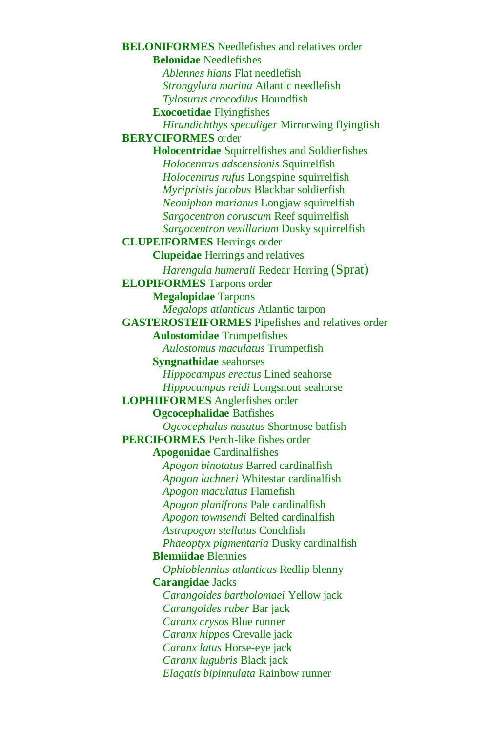**BELONIFORMES** Needlefishes and relatives order **Belonidae** Needlefishes *Ablennes hians* Flat needlefish *Strongylura marina* Atlantic needlefish *Tylosurus crocodilus* Houndfish **Exocoetidae** Flyingfishes *Hirundichthys speculiger* Mirrorwing flyingfish **BERYCIFORMES** order **Holocentridae** Squirrelfishes and Soldierfishes *Holocentrus adscensionis* Squirrelfish *Holocentrus rufus* Longspine squirrelfish *Myripristis jacobus* Blackbar soldierfish *Neoniphon marianus* Longjaw squirrelfish *Sargocentron coruscum* Reef squirrelfish *Sargocentron vexillarium* Dusky squirrelfish **CLUPEIFORMES** Herrings order **Clupeidae** Herrings and relatives *Harengula humerali* Redear Herring (Sprat) **ELOPIFORMES** Tarpons order **Megalopidae** Tarpons *Megalops atlanticus* Atlantic tarpon **GASTEROSTEIFORMES** Pipefishes and relatives order **Aulostomidae** Trumpetfishes *Aulostomus maculatus* Trumpetfish **Syngnathidae** seahorses *Hippocampus erectus* Lined seahorse *Hippocampus reidi* Longsnout seahorse **LOPHIIFORMES** Anglerfishes order **Ogcocephalidae** Batfishes *Ogcocephalus nasutus* Shortnose batfish **PERCIFORMES** Perch-like fishes order **Apogonidae** Cardinalfishes *Apogon binotatus* Barred cardinalfish *Apogon lachneri* Whitestar cardinalfish *Apogon maculatus* Flamefish *Apogon planifrons* Pale cardinalfish *Apogon townsendi* Belted cardinalfish *Astrapogon stellatus* Conchfish *Phaeoptyx pigmentaria* Dusky cardinalfish **Blenniidae** Blennies *Ophioblennius atlanticus* Redlip blenny **Carangidae** Jacks *Carangoides bartholomaei* Yellow jack *Carangoides ruber* Bar jack *Caranx crysos* Blue runner *Caranx hippos* Crevalle jack *Caranx latus* Horse-eye jack *Caranx lugubris* Black jack *Elagatis bipinnulata* Rainbow runner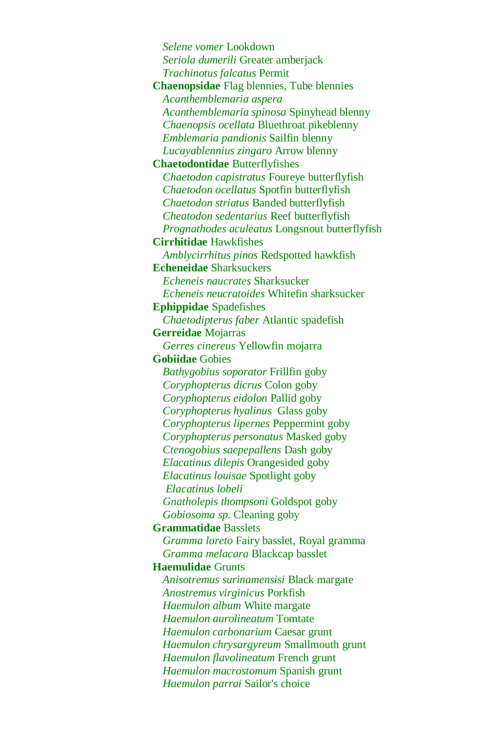*Selene vomer* Lookdown *Seriola dumerili* Greater amberjack *Trachinotus falcatus* Permit **Chaenopsidae** Flag blennies, Tube blennies *Acanthemblemaria aspera Acanthemblemaria spinosa* Spinyhead blenny *Chaenopsis ocellata* Bluethroat pikeblenny *Emblemaria pandionis* Sailfin blenny *Lucayablennius zingaro* Arrow blenny **Chaetodontidae** Butterflyfishes *Chaetodon capistratus* Foureye butterflyfish *Chaetodon ocellatus* Spotfin butterflyfish *Chaetodon striatus* Banded butterflyfish *Cheatodon sedentarius* Reef butterflyfish *Prognathodes aculeatus* Longsnout butterflyfish **Cirrhitidae** Hawkfishes *Amblycirrhitus pinos* Redspotted hawkfish **Echeneidae** Sharksuckers *Echeneis naucrates* Sharksucker *Echeneis neucratoides* Whitefin sharksucker **Ephippidae** Spadefishes *Chaetodipterus faber* Atlantic spadefish **Gerreidae** Mojarras *Gerres cinereus* Yellowfin mojarra **Gobiidae** Gobies *Bathygobius soporator* Frillfin goby *Coryphopterus dicrus* Colon goby *Coryphopterus eidolon* Pallid goby *Coryphopterus hyalinus* Glass goby *Coryphopterus lipernes* Peppermint goby *Coryphopterus personatus* Masked goby *Ctenogobius saepepallens* Dash goby *Elacatinus dilepis* Orangesided goby *Elacatinus louisae* Spotlight goby *Elacatinus lobeli Gnatholepis thompsoni* Goldspot goby *Gobiosoma sp.* Cleaning goby **Grammatidae** Basslets *Gramma loreto* Fairy basslet, Royal gramma *Gramma melacara* Blackcap basslet **Haemulidae** Grunts *Anisotremus surinamensisi* Black margate *Anostremus virginicus* Porkfish *Haemulon album* White margate *Haemulon aurolineatum* Tomtate *Haemulon carbonarium* Caesar grunt *Haemulon chrysargyreum* Smallmouth grunt *Haemulon flavolineatum* French grunt *Haemulon macrostomum* Spanish grunt *Haemulon parrai* Sailor's choice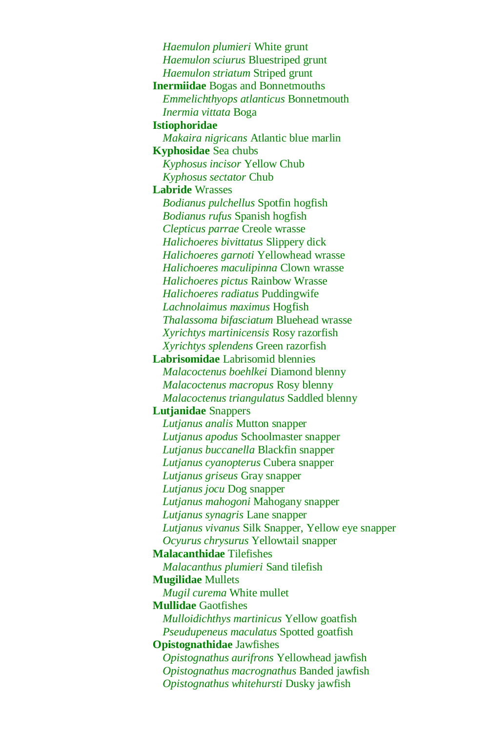*Haemulon plumieri* White grunt *Haemulon sciurus* Bluestriped grunt *Haemulon striatum* Striped grunt **Inermiidae** Bogas and Bonnetmouths *Emmelichthyops atlanticus* Bonnetmouth *Inermia vittata* Boga **Istiophoridae** *Makaira nigricans* Atlantic blue marlin **Kyphosidae** Sea chubs *Kyphosus incisor* Yellow Chub *Kyphosus sectator* Chub **Labride** Wrasses *Bodianus pulchellus* Spotfin hogfish *Bodianus rufus* Spanish hogfish *Clepticus parrae* Creole wrasse *Halichoeres bivittatus* Slippery dick *Halichoeres garnoti* Yellowhead wrasse *Halichoeres maculipinna* Clown wrasse *Halichoeres pictus* Rainbow Wrasse *Halichoeres radiatus* Puddingwife *Lachnolaimus maximus* Hogfish *Thalassoma bifasciatum* Bluehead wrasse *Xyrichtys martinicensis* Rosy razorfish *Xyrichtys splendens* Green razorfish **Labrisomidae** Labrisomid blennies *Malacoctenus boehlkei* Diamond blenny *Malacoctenus macropus* Rosy blenny *Malacoctenus triangulatus* Saddled blenny **Lutjanidae** Snappers *Lutjanus analis* Mutton snapper *Lutjanus apodus* Schoolmaster snapper *Lutjanus buccanella* Blackfin snapper *Lutjanus cyanopterus* Cubera snapper *Lutjanus griseus* Gray snapper *Lutjanus jocu* Dog snapper *Lutjanus mahogoni* Mahogany snapper *Lutjanus synagris* Lane snapper *Lutjanus vivanus* Silk Snapper, Yellow eye snapper *Ocyurus chrysurus* Yellowtail snapper **Malacanthidae** Tilefishes *Malacanthus plumieri* Sand tilefish **Mugilidae** Mullets *Mugil curema* White mullet **Mullidae** Gaotfishes *Mulloidichthys martinicus* Yellow goatfish *Pseudupeneus maculatus* Spotted goatfish **Opistognathidae** Jawfishes *Opistognathus aurifrons* Yellowhead jawfish *Opistognathus macrognathus* Banded jawfish *Opistognathus whitehursti* Dusky jawfish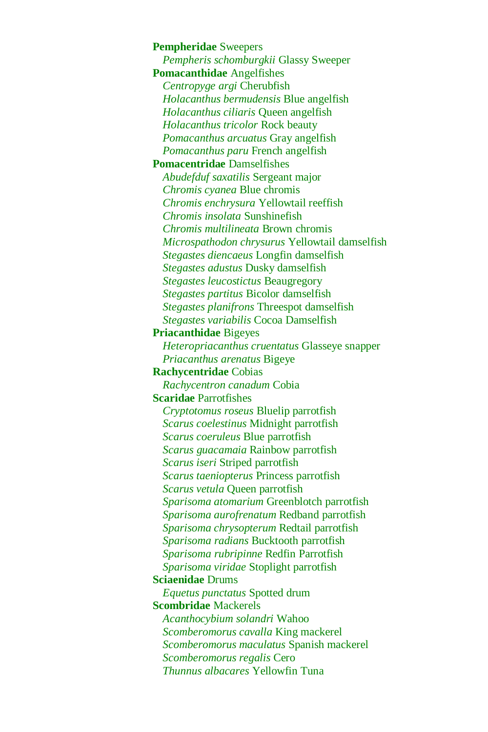**Pempheridae** Sweepers *Pempheris schomburgkii* Glassy Sweeper **Pomacanthidae** Angelfishes *Centropyge argi* Cherubfish *Holacanthus bermudensis* Blue angelfish *Holacanthus ciliaris* Queen angelfish *Holacanthus tricolor* Rock beauty *Pomacanthus arcuatus* Gray angelfish *Pomacanthus paru* French angelfish **Pomacentridae** Damselfishes *Abudefduf saxatilis* Sergeant major *Chromis cyanea* Blue chromis *Chromis enchrysura* Yellowtail reeffish *Chromis insolata* Sunshinefish *Chromis multilineata* Brown chromis *Microspathodon chrysurus* Yellowtail damselfish *Stegastes diencaeus* Longfin damselfish *Stegastes adustus* Dusky damselfish *Stegastes leucostictus* Beaugregory *Stegastes partitus* Bicolor damselfish *Stegastes planifrons* Threespot damselfish *Stegastes variabilis* Cocoa Damselfish **Priacanthidae** Bigeyes *Heteropriacanthus cruentatus* Glasseye snapper *Priacanthus arenatus* Bigeye **Rachycentridae** Cobias *Rachycentron canadum* Cobia **Scaridae** Parrotfishes *Cryptotomus roseus* Bluelip parrotfish *Scarus coelestinus* Midnight parrotfish *Scarus coeruleus* Blue parrotfish *Scarus guacamaia* Rainbow parrotfish *Scarus iseri* Striped parrotfish *Scarus taeniopterus* Princess parrotfish *Scarus vetula* Queen parrotfish *Sparisoma atomarium* Greenblotch parrotfish *Sparisoma aurofrenatum* Redband parrotfish *Sparisoma chrysopterum* Redtail parrotfish *Sparisoma radians* Bucktooth parrotfish *Sparisoma rubripinne* Redfin Parrotfish *Sparisoma viridae* Stoplight parrotfish **Sciaenidae** Drums *Equetus punctatus* Spotted drum **Scombridae** Mackerels *Acanthocybium solandri* Wahoo *Scomberomorus cavalla* King mackerel *Scomberomorus maculatus* Spanish mackerel *Scomberomorus regalis* Cero *Thunnus albacares* Yellowfin Tuna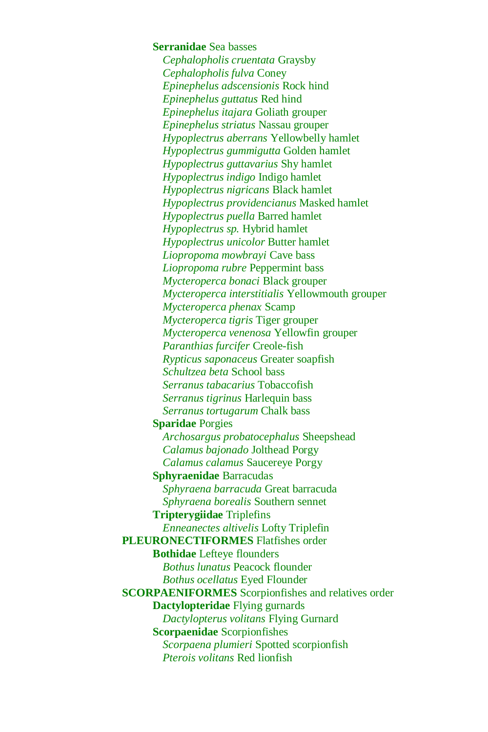**Serranidae** Sea basses *Cephalopholis cruentata* Graysby *Cephalopholis fulva* Coney *Epinephelus adscensionis* Rock hind *Epinephelus guttatus* Red hind *Epinephelus itajara* Goliath grouper *Epinephelus striatus* Nassau grouper *Hypoplectrus aberrans* Yellowbelly hamlet *Hypoplectrus gummigutta* Golden hamlet *Hypoplectrus guttavarius* Shy hamlet *Hypoplectrus indigo* Indigo hamlet *Hypoplectrus nigricans* Black hamlet *Hypoplectrus providencianus* Masked hamlet *Hypoplectrus puella* Barred hamlet *Hypoplectrus sp.* Hybrid hamlet *Hypoplectrus unicolor* Butter hamlet *Liopropoma mowbrayi* Cave bass *Liopropoma rubre* Peppermint bass *Mycteroperca bonaci* Black grouper *Mycteroperca interstitialis* Yellowmouth grouper *Mycteroperca phenax* Scamp *Mycteroperca tigris* Tiger grouper *Mycteroperca venenosa* Yellowfin grouper *Paranthias furcifer* Creole-fish *Rypticus saponaceus* Greater soapfish *Schultzea beta* School bass *Serranus tabacarius* Tobaccofish *Serranus tigrinus* Harlequin bass *Serranus tortugarum* Chalk bass **Sparidae** Porgies *Archosargus probatocephalus* Sheepshead *Calamus bajonado* Jolthead Porgy *Calamus calamus* Saucereye Porgy **Sphyraenidae** Barracudas *Sphyraena barracuda* Great barracuda *Sphyraena borealis* Southern sennet **Tripterygiidae** Triplefins *Enneanectes altivelis* Lofty Triplefin **PLEURONECTIFORMES** Flatfishes order **Bothidae** Lefteye flounders *Bothus lunatus* Peacock flounder *Bothus ocellatus* Eyed Flounder **SCORPAENIFORMES** Scorpionfishes and relatives order **Dactylopteridae** Flying gurnards *Dactylopterus volitans* Flying Gurnard **Scorpaenidae** Scorpionfishes *Scorpaena plumieri* Spotted scorpionfish *Pterois volitans* Red lionfish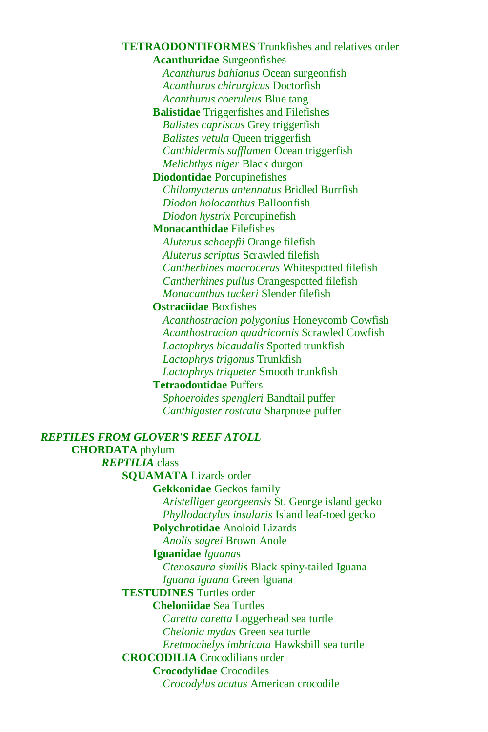**TETRAODONTIFORMES** Trunkfishes and relatives order **Acanthuridae** Surgeonfishes *Acanthurus bahianus* Ocean surgeonfish *Acanthurus chirurgicus* Doctorfish *Acanthurus coeruleus* Blue tang **Balistidae** Triggerfishes and Filefishes *Balistes capriscus* Grey triggerfish *Balistes vetula* Queen triggerfish *Canthidermis sufflamen* Ocean triggerfish *Melichthys niger* Black durgon **Diodontidae** Porcupinefishes *Chilomycterus antennatus* Bridled Burrfish *Diodon holocanthus* Balloonfish *Diodon hystrix* Porcupinefish **Monacanthidae** Filefishes *Aluterus schoepfii* Orange filefish *Aluterus scriptus* Scrawled filefish *Cantherhines macrocerus* Whitespotted filefish *Cantherhines pullus* Orangespotted filefish *Monacanthus tuckeri* Slender filefish **Ostraciidae** Boxfishes *Acanthostracion polygonius* Honeycomb Cowfish *Acanthostracion quadricornis* Scrawled Cowfish *Lactophrys bicaudalis* Spotted trunkfish *Lactophrys trigonus* Trunkfish *Lactophrys triqueter* Smooth trunkfish **Tetraodontidae** Puffers *Sphoeroides spengleri* Bandtail puffer *Canthigaster rostrata* Sharpnose puffer *REPTILES FROM GLOVER'S REEF ATOLL* **CHORDATA** phylum *REPTILIA* class **SQUAMATA** Lizards order **Gekkonidae** Geckos family *Aristelliger georgeensis* St. George island gecko *Phyllodactylus insularis* Island leaf-toed gecko **Polychrotidae** Anoloid Lizards *Anolis sagrei* Brown Anole **Iguanidae** *Iguana*s *Ctenosaura similis* Black spiny-tailed Iguana *Iguana iguana* Green Iguana **TESTUDINES** Turtles order **Cheloniidae** Sea Turtles *Caretta caretta* Loggerhead sea turtle *Chelonia mydas* Green sea turtle *Eretmochelys imbricata* Hawksbill sea turtle **CROCODILIA** Crocodilians order **Crocodylidae** Crocodiles

*Crocodylus acutus* American crocodile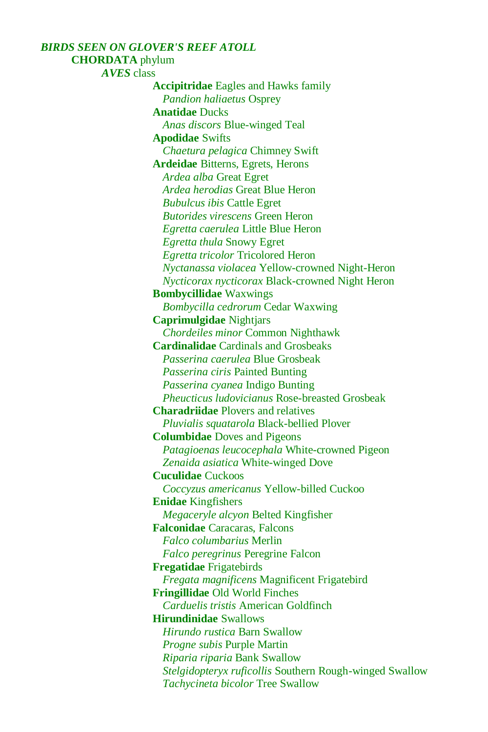# *BIRDS SEEN ON GLOVER'S REEF ATOLL* **CHORDATA** phylum *AVES* class **Accipitridae** Eagles and Hawks family *Pandion haliaetus* Osprey **Anatidae** Ducks *Anas discors* Blue-winged Teal **Apodidae** Swifts *Chaetura pelagica* Chimney Swift **Ardeidae** Bitterns, Egrets, Herons *Ardea alba* Great Egret *Ardea herodias* Great Blue Heron *Bubulcus ibis* Cattle Egret *Butorides virescens* Green Heron *Egretta caerulea* Little Blue Heron *Egretta thula* Snowy Egret *Egretta tricolor* Tricolored Heron *Nyctanassa violacea* Yellow-crowned Night-Heron *Nycticorax nycticorax* Black-crowned Night Heron **Bombycillidae** Waxwings *Bombycilla cedrorum* Cedar Waxwing **Caprimulgidae** Nightjars *Chordeiles minor* Common Nighthawk **Cardinalidae** Cardinals and Grosbeaks *Passerina caerulea* Blue Grosbeak *Passerina ciris* Painted Bunting *Passerina cyanea* Indigo Bunting *Pheucticus ludovicianus* Rose-breasted Grosbeak **Charadriidae** Plovers and relatives *Pluvialis squatarola* Black-bellied Plover **Columbidae** Doves and Pigeons *Patagioenas leucocephala* White-crowned Pigeon *Zenaida asiatica* White-winged Dove **Cuculidae** Cuckoos *Coccyzus americanus* Yellow-billed Cuckoo **Enidae** Kingfishers *Megaceryle alcyon* Belted Kingfisher **Falconidae** Caracaras, Falcons *Falco columbarius* Merlin *Falco peregrinus* Peregrine Falcon **Fregatidae** Frigatebirds *Fregata magnificens* Magnificent Frigatebird **Fringillidae** Old World Finches *Carduelis tristis* American Goldfinch **Hirundinidae** Swallows *Hirundo rustica* Barn Swallow *Progne subis* Purple Martin *Riparia riparia* Bank Swallow *Stelgidopteryx ruficollis* Southern Rough-winged Swallow *Tachycineta bicolor* Tree Swallow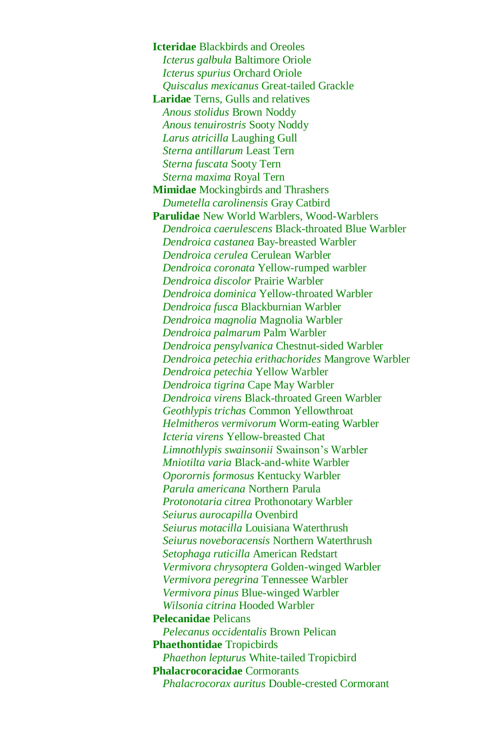**Icteridae** Blackbirds and Oreoles *Icterus galbula* Baltimore Oriole *Icterus spurius* Orchard Oriole *Quiscalus mexicanus* Great-tailed Grackle **Laridae** Terns, Gulls and relatives *Anous stolidus* Brown Noddy *Anous tenuirostris* Sooty Noddy *Larus atricilla* Laughing Gull *Sterna antillarum* Least Tern *Sterna fuscata* Sooty Tern *Sterna maxima* Royal Tern **Mimidae** Mockingbirds and Thrashers *Dumetella carolinensis* Gray Catbird **Parulidae** New World Warblers, Wood-Warblers *Dendroica caerulescens* Black-throated Blue Warbler *Dendroica castanea* Bay-breasted Warbler *Dendroica cerulea* Cerulean Warbler *Dendroica coronata* Yellow-rumped warbler *Dendroica discolor* Prairie Warbler *Dendroica dominica* Yellow-throated Warbler *Dendroica fusca* Blackburnian Warbler *Dendroica magnolia* Magnolia Warbler *Dendroica palmarum* Palm Warbler *Dendroica pensylvanica* Chestnut-sided Warbler *Dendroica petechia erithachorides* Mangrove Warbler *Dendroica petechia* Yellow Warbler *Dendroica tigrina* Cape May Warbler *Dendroica virens* Black-throated Green Warbler *Geothlypis trichas* Common Yellowthroat *Helmitheros vermivorum* Worm-eating Warbler *Icteria virens* Yellow-breasted Chat *Limnothlypis swainsonii* Swainson's Warbler *Mniotilta varia* Black-and-white Warbler *Oporornis formosus* Kentucky Warbler *Parula americana* Northern Parula *Protonotaria citrea* Prothonotary Warbler *Seiurus aurocapilla* Ovenbird *Seiurus motacilla* Louisiana Waterthrush *Seiurus noveboracensis* Northern Waterthrush *Setophaga ruticilla* American Redstart *Vermivora chrysoptera* Golden-winged Warbler *Vermivora peregrina* Tennessee Warbler *Vermivora pinus* Blue-winged Warbler *Wilsonia citrina* Hooded Warbler **Pelecanidae** Pelicans *Pelecanus occidentalis* Brown Pelican **Phaethontidae** Tropicbirds *Phaethon lepturus* White-tailed Tropicbird **Phalacrocoracidae** Cormorants *Phalacrocorax auritus* Double-crested Cormorant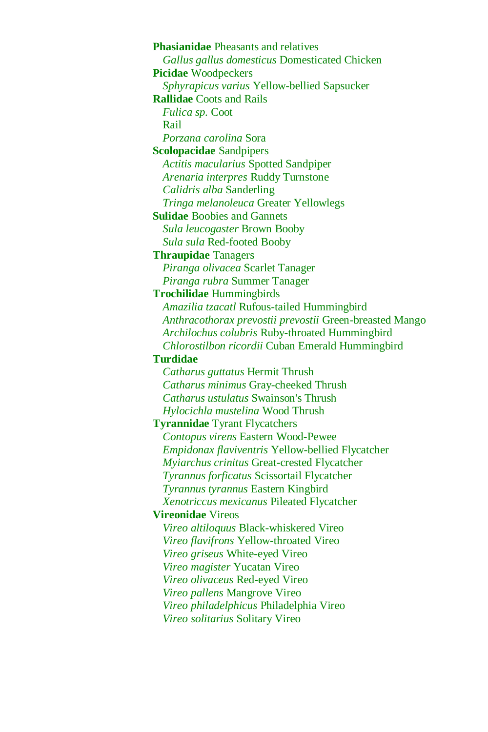**Phasianidae** Pheasants and relatives *Gallus gallus domesticus* Domesticated Chicken **Picidae** Woodpeckers *Sphyrapicus varius* Yellow-bellied Sapsucker **Rallidae** Coots and Rails *Fulica sp.* Coot Rail *Porzana carolina* Sora **Scolopacidae** Sandpipers *Actitis macularius* Spotted Sandpiper *Arenaria interpres* Ruddy Turnstone *Calidris alba* Sanderling *Tringa melanoleuca* Greater Yellowlegs **Sulidae** Boobies and Gannets *Sula leucogaster* Brown Booby *Sula sula* Red-footed Booby **Thraupidae** Tanagers *Piranga olivacea* Scarlet Tanager *Piranga rubra* Summer Tanager **Trochilidae** Hummingbirds *Amazilia tzacatl* Rufous-tailed Hummingbird *Anthracothorax prevostii prevostii* Green-breasted Mango *Archilochus colubris* Ruby-throated Hummingbird *Chlorostilbon ricordii* Cuban Emerald Hummingbird **Turdidae**  *Catharus guttatus* Hermit Thrush *Catharus minimus* Gray-cheeked Thrush *Catharus ustulatus* Swainson's Thrush *Hylocichla mustelina* Wood Thrush **Tyrannidae** Tyrant Flycatchers *Contopus virens* Eastern Wood-Pewee *Empidonax flaviventris* Yellow-bellied Flycatcher *Myiarchus crinitus* Great-crested Flycatcher *Tyrannus forficatus* Scissortail Flycatcher *Tyrannus tyrannus* Eastern Kingbird *Xenotriccus mexicanus* Pileated Flycatcher **Vireonidae** Vireos *Vireo altiloquus* Black-whiskered Vireo *Vireo flavifrons* Yellow-throated Vireo *Vireo griseus* White-eyed Vireo *Vireo magister* Yucatan Vireo *Vireo olivaceus* Red-eyed Vireo *Vireo pallens* Mangrove Vireo *Vireo philadelphicus* Philadelphia Vireo *Vireo solitarius* Solitary Vireo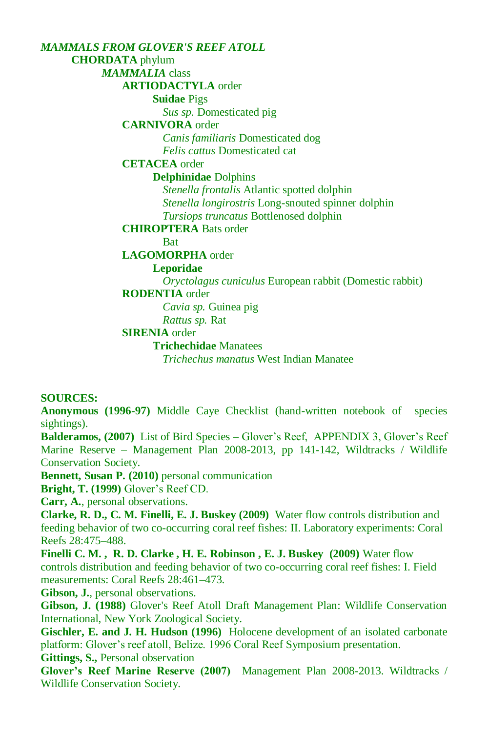*MAMMALS FROM GLOVER'S REEF ATOLL* **CHORDATA** phylum *MAMMALIA* class **ARTIODACTYLA** order **Suidae** Pigs *Sus sp.* Domesticated pig **CARNIVORA** order *Canis familiaris* Domesticated dog *Felis cattus* Domesticated cat **CETACEA** order **Delphinidae** Dolphins *Stenella frontalis* Atlantic spotted dolphin *Stenella longirostris* Long-snouted spinner dolphin *Tursiops truncatus* Bottlenosed dolphin **CHIROPTERA** Bats order **Bat LAGOMORPHA** order **Leporidae** *Oryctolagus cuniculus* European rabbit (Domestic rabbit) **RODENTIA** order *Cavia sp.* Guinea pig *Rattus sp.* Rat **SIRENIA** order **Trichechidae** Manatees *Trichechus manatus* West Indian Manatee

#### **SOURCES:**

**Anonymous (1996-97)** Middle Caye Checklist (hand-written notebook of species sightings).

**Balderamos, (2007)** List of Bird Species – Glover's Reef, APPENDIX 3, Glover's Reef Marine Reserve – Management Plan 2008-2013, pp 141-142, Wildtracks / Wildlife Conservation Society.

**Bennett, Susan P. (2010)** personal communication

**Bright, T. (1999)** Glover's Reef CD.

**Carr, A.**, personal observations.

**Clarke, R. D., C. M. Finelli, E. J. Buskey (2009)** Water flow controls distribution and feeding behavior of two co-occurring coral reef fishes: II. Laboratory experiments: Coral Reefs 28:475–488.

**Finelli C. M. , R. D. Clarke , H. E. Robinson , E. J. Buskey (2009)** Water flow controls distribution and feeding behavior of two co-occurring coral reef fishes: I. Field measurements: Coral Reefs 28:461–473.

**Gibson, J.**, personal observations.

**Gibson, J. (1988)** Glover's Reef Atoll Draft Management Plan: Wildlife Conservation International, New York Zoological Society.

**Gischler, E. and J. H. Hudson (1996)** Holocene development of an isolated carbonate platform: Glover's reef atoll, Belize. 1996 Coral Reef Symposium presentation.

**Gittings, S.,** Personal observation

**Glover's Reef Marine Reserve (2007)** Management Plan 2008-2013. Wildtracks / Wildlife Conservation Society.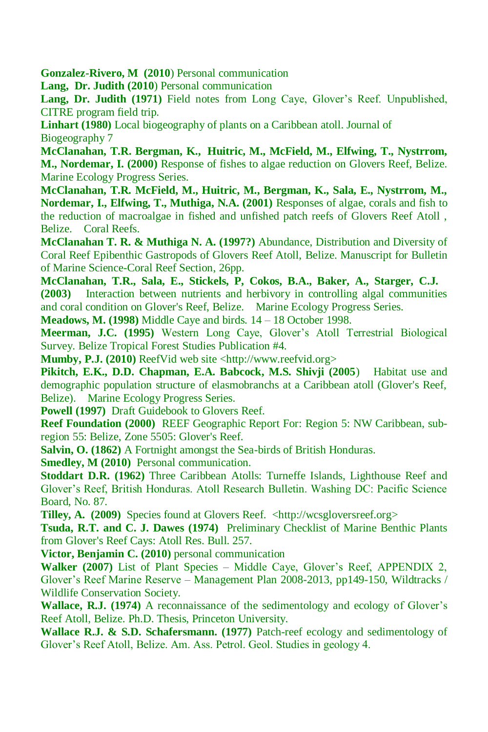**Gonzalez-Rivero, M (2010**) Personal communication

**Lang, Dr. Judith (2010**) Personal communication

**Lang, Dr. Judith (1971)** Field notes from Long Caye, Glover's Reef. Unpublished, CITRE program field trip.

**Linhart (1980)** Local biogeography of plants on a Caribbean atoll. Journal of Biogeography 7

**McClanahan, T.R. Bergman, K., Huitric, M., McField, M., Elfwing, T., Nystrrom, M., Nordemar, I. (2000)** Response of fishes to algae reduction on Glovers Reef, Belize. Marine Ecology Progress Series.

**McClanahan, T.R. McField, M., Huitric, M., Bergman, K., Sala, E., Nystrrom, M., Nordemar, I., Elfwing, T., Muthiga, N.A. (2001)** Responses of algae, corals and fish to the reduction of macroalgae in fished and unfished patch reefs of Glovers Reef Atoll , Belize. Coral Reefs.

**McClanahan T. R. & Muthiga N. A. (1997?)** Abundance, Distribution and Diversity of Coral Reef Epibenthic Gastropods of Glovers Reef Atoll, Belize. Manuscript for Bulletin of Marine Science-Coral Reef Section, 26pp.

**McClanahan, T.R., Sala, E., Stickels, P, Cokos, B.A., Baker, A., Starger, C.J. (2003)** Interaction between nutrients and herbivory in controlling algal communities and coral condition on Glover's Reef, Belize. Marine Ecology Progress Series.

**Meadows, M. (1998)** Middle Caye and birds. 14 – 18 October 1998.

**Meerman, J.C. (1995)** Western Long Caye, Glover's Atoll Terrestrial Biological Survey. Belize Tropical Forest Studies Publication #4.

**Mumby, P.J. (2010)** ReefVid web site <http://www.reefvid.org>

**Pikitch, E.K., D.D. Chapman, E.A. Babcock, M.S. Shivji (2005**) Habitat use and demographic population structure of elasmobranchs at a Caribbean atoll (Glover's Reef, Belize). Marine Ecology Progress Series.

**Powell (1997)** Draft Guidebook to Glovers Reef.

**Reef Foundation (2000)** REEF Geographic Report For: Region 5: NW Caribbean, subregion 55: Belize, Zone 5505: Glover's Reef.

**Salvin, O. (1862)** A Fortnight amongst the Sea-birds of British Honduras.

**Smedley, M (2010)** Personal communication.

**Stoddart D.R. (1962)** Three Caribbean Atolls: Turneffe Islands, Lighthouse Reef and Glover's Reef, British Honduras. Atoll Research Bulletin. Washing DC: Pacific Science Board, No. 87.

**Tilley, A. (2009)** Species found at Glovers Reef. <http://wcsgloversreef.org>

**Tsuda, R.T. and C. J. Dawes (1974)** Preliminary Checklist of Marine Benthic Plants from Glover's Reef Cays: Atoll Res. Bull. 257.

**Victor, Benjamin C. (2010)** personal communication

**Walker (2007)** List of Plant Species – Middle Caye, Glover's Reef, APPENDIX 2, Glover's Reef Marine Reserve – Management Plan 2008-2013, pp149-150, Wildtracks / Wildlife Conservation Society.

**Wallace, R.J. (1974)** A reconnaissance of the sedimentology and ecology of Glover's Reef Atoll, Belize. Ph.D. Thesis, Princeton University.

**Wallace R.J. & S.D. Schafersmann. (1977)** Patch-reef ecology and sedimentology of Glover's Reef Atoll, Belize. Am. Ass. Petrol. Geol. Studies in geology 4.